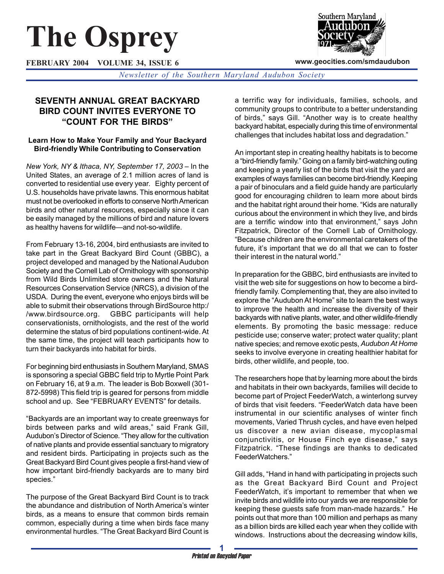# **The Osprey**

**FEBRUARY 2004 VOLUME 34, ISSUE 6**



**www.geocities.com/smdaudubon**

*Newsletter of the Southern Maryland Audubon Society*

# **SEVENTH ANNUAL GREAT BACKYARD BIRD COUNT INVITES EVERYONE TO "COUNT FOR THE BIRDS"**

#### **Learn How to Make Your Family and Your Backyard Bird-friendly While Contributing to Conservation**

*New York, NY & Ithaca, NY, September 17, 2003* – In the United States, an average of 2.1 million acres of land is converted to residential use every year. Eighty percent of U.S. households have private lawns. This enormous habitat must not be overlooked in efforts to conserve North American birds and other natural resources, especially since it can be easily managed by the millions of bird and nature lovers as healthy havens for wildlife—and not-so-wildlife.

From February 13-16, 2004, bird enthusiasts are invited to take part in the Great Backyard Bird Count (GBBC), a project developed and managed by the National Audubon Society and the Cornell Lab of Ornithology with sponsorship from Wild Birds Unlimited store owners and the Natural Resources Conservation Service (NRCS), a division of the USDA. During the event, everyone who enjoys birds will be able to submit their observations through BirdSource http:/ /www.birdsource.org. GBBC participants will help conservationists, ornithologists, and the rest of the world determine the status of bird populations continent-wide. At the same time, the project will teach participants how to turn their backyards into habitat for birds.

For beginning bird enthusiasts in Southern Maryland, SMAS is sponsoring a special GBBC field trip to Myrtle Point Park on February 16, at 9 a.m. The leader is Bob Boxwell (301- 872-5998) This field trip is geared for persons from middle school and up. See "FEBRUARY EVENTS" for details.

"Backyards are an important way to create greenways for birds between parks and wild areas," said Frank Gill, Audubon's Director of Science. "They allow for the cultivation of native plants and provide essential sanctuary to migratory and resident birds. Participating in projects such as the Great Backyard Bird Count gives people a first-hand view of how important bird-friendly backyards are to many bird species."

The purpose of the Great Backyard Bird Count is to track the abundance and distribution of North America's winter birds, as a means to ensure that common birds remain common, especially during a time when birds face many environmental hurdles. "The Great Backyard Bird Count is

a terrific way for individuals, families, schools, and community groups to contribute to a better understanding of birds," says Gill. "Another way is to create healthy backyard habitat, especially during this time of environmental challenges that includes habitat loss and degradation."

An important step in creating healthy habitats is to become a "bird-friendly family." Going on a family bird-watching outing and keeping a yearly list of the birds that visit the yard are examples of ways families can become bird-friendly. Keeping a pair of binoculars and a field guide handy are particularly good for encouraging children to learn more about birds and the habitat right around their home. "Kids are naturally curious about the environment in which they live, and birds are a terrific window into that environment," says John Fitzpatrick, Director of the Cornell Lab of Ornithology. "Because children are the environmental caretakers of the future, it's important that we do all that we can to foster their interest in the natural world."

In preparation for the GBBC, bird enthusiasts are invited to visit the web site for suggestions on how to become a birdfriendly family. Complementing that, they are also invited to explore the "Audubon At Home" site to learn the best ways to improve the health and increase the diversity of their backyards with native plants, water, and other wildlife-friendly elements. By promoting the basic message: reduce pesticide use; conserve water; protect water quality; plant native species; and remove exotic pests, *Audubon At Home* seeks to involve everyone in creating healthier habitat for birds, other wildlife, and people, too.

The researchers hope that by learning more about the birds and habitats in their own backyards, families will decide to become part of Project FeederWatch, a winterlong survey of birds that visit feeders. "FeederWatch data have been instrumental in our scientific analyses of winter finch movements, Varied Thrush cycles, and have even helped us discover a new avian disease, mycoplasmal conjunctivitis, or House Finch eye disease," says Fitzpatrick. "These findings are thanks to dedicated FeederWatchers."

Gill adds, "Hand in hand with participating in projects such as the Great Backyard Bird Count and Project FeederWatch, it's important to remember that when we invite birds and wildlife into our yards we are responsible for keeping these guests safe from man-made hazards." He points out that more than 100 million and perhaps as many as a billion birds are killed each year when they collide with windows. Instructions about the decreasing window kills,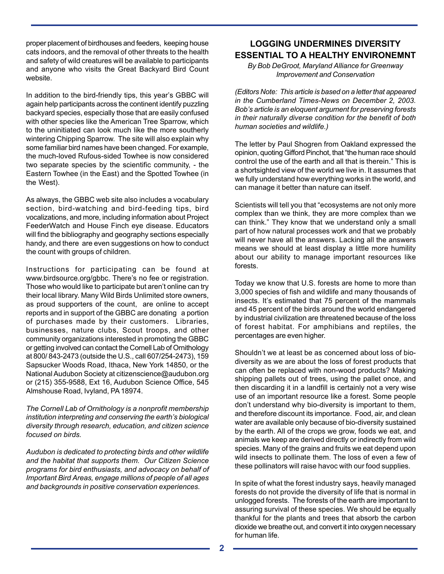proper placement of birdhouses and feeders, keeping house cats indoors, and the removal of other threats to the health and safety of wild creatures will be available to participants and anyone who visits the Great Backyard Bird Count website.

In addition to the bird-friendly tips, this year's GBBC will again help participants across the continent identify puzzling backyard species, especially those that are easily confused with other species like the American Tree Sparrow, which to the uninitiated can look much like the more southerly wintering Chipping Sparrow. The site will also explain why some familiar bird names have been changed. For example, the much-loved Rufous-sided Towhee is now considered two separate species by the scientific community, - the Eastern Towhee (in the East) and the Spotted Towhee (in the West).

As always, the GBBC web site also includes a vocabulary section, bird-watching and bird-feeding tips, bird vocalizations, and more, including information about Project FeederWatch and House Finch eye disease. Educators will find the bibliography and geography sections especially handy, and there are even suggestions on how to conduct the count with groups of children.

Instructions for participating can be found at www.birdsource.org/gbbc. There's no fee or registration. Those who would like to participate but aren't online can try their local library. Many Wild Birds Unlimited store owners, as proud supporters of the count, are online to accept reports and in support of the GBBC are donating a portion of purchases made by their customers. Libraries, businesses, nature clubs, Scout troops, and other community organizations interested in promoting the GBBC or getting involved can contact the Cornell Lab of Ornithology at 800/ 843-2473 (outside the U.S., call 607/254-2473), 159 Sapsucker Woods Road, Ithaca, New York 14850, or the National Audubon Society at citizenscience@audubon.org or (215) 355-9588, Ext 16, Audubon Science Office, 545 Almshouse Road, Ivyland, PA 18974.

*The Cornell Lab of Ornithology is a nonprofit membership institution interpreting and conserving the earth's biological diversity through research, education, and citizen science focused on birds.*

*Audubon is dedicated to protecting birds and other wildlife and the habitat that supports them. Our Citizen Science programs for bird enthusiasts, and advocacy on behalf of Important Bird Areas, engage millions of people of all ages and backgrounds in positive conservation experiences.*

## **LOGGING UNDERMINES DIVERSITY ESSENTIAL TO A HEALTHY ENVIRONEMNT**

*By Bob DeGroot, Maryland Alliance for Greenway Improvement and Conservation*

*(Editors Note: This article is based on a letter that appeared in the Cumberland Times-News on December 2, 2003. Bob's article is an eloquent argument for preserving forests in their naturally diverse condition for the benefit of both human societies and wildlife.)*

The letter by Paul Shogren from Oakland expressed the opinion, quoting Gifford Pinchot, that "the human race should control the use of the earth and all that is therein." This is a shortsighted view of the world we live in. It assumes that we fully understand how everything works in the world, and can manage it better than nature can itself.

Scientists will tell you that "ecosystems are not only more complex than we think, they are more complex than we can think." They know that we understand only a small part of how natural processes work and that we probably will never have all the answers. Lacking all the answers means we should at least display a little more humility about our ability to manage important resources like forests.

Today we know that U.S. forests are home to more than 3,000 species of fish and wildlife and many thousands of insects. It's estimated that 75 percent of the mammals and 45 percent of the birds around the world endangered by industrial civilization are threatened because of the loss of forest habitat. For amphibians and reptiles, the percentages are even higher.

Shouldn't we at least be as concerned about loss of biodiversity as we are about the loss of forest products that can often be replaced with non-wood products? Making shipping pallets out of trees, using the pallet once, and then discarding it in a landfill is certainly not a very wise use of an important resource like a forest. Some people don't understand why bio-diversity is important to them, and therefore discount its importance. Food, air, and clean water are available only because of bio-diversity sustained by the earth. All of the crops we grow, foods we eat, and animals we keep are derived directly or indirectly from wild species. Many of the grains and fruits we eat depend upon wild insects to pollinate them. The loss of even a few of these pollinators will raise havoc with our food supplies.

In spite of what the forest industry says, heavily managed forests do not provide the diversity of life that is normal in unlogged forests. The forests of the earth are important to assuring survival of these species. We should be equally thankful for the plants and trees that absorb the carbon dioxide we breathe out, and convert it into oxygen necessary for human life.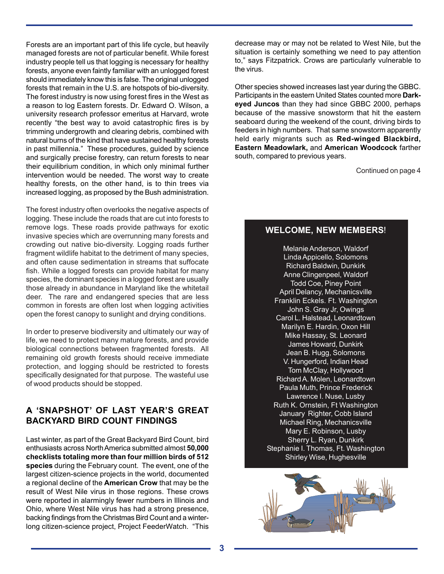Forests are an important part of this life cycle, but heavily managed forests are not of particular benefit. While forest industry people tell us that logging is necessary for healthy forests, anyone even faintly familiar with an unlogged forest should immediately know this is false. The original unlogged forests that remain in the U.S. are hotspots of bio-diversity. The forest industry is now using forest fires in the West as a reason to log Eastern forests. Dr. Edward O. Wilson, a university research professor emeritus at Harvard, wrote recently "the best way to avoid catastrophic fires is by trimming undergrowth and clearing debris, combined with natural burns of the kind that have sustained healthy forests in past millennia." These procedures, guided by science and surgically precise forestry, can return forests to near their equilibrium condition, in which only minimal further intervention would be needed. The worst way to create healthy forests, on the other hand, is to thin trees via increased logging, as proposed by the Bush administration.

The forest industry often overlooks the negative aspects of logging. These include the roads that are cut into forests to remove logs. These roads provide pathways for exotic invasive species which are overrunning many forests and crowding out native bio-diversity. Logging roads further fragment wildlife habitat to the detriment of many species, and often cause sedimentation in streams that suffocate fish. While a logged forests can provide habitat for many species, the dominant species in a logged forest are usually those already in abundance in Maryland like the whitetail deer. The rare and endangered species that are less common in forests are often lost when logging activities open the forest canopy to sunlight and drying conditions.

In order to preserve biodiversity and ultimately our way of life, we need to protect many mature forests, and provide biological connections between fragmented forests. All remaining old growth forests should receive immediate protection, and logging should be restricted to forests specifically designated for that purpose. The wasteful use of wood products should be stopped.

## **A 'SNAPSHOT' OF LAST YEAR'S GREAT BACKYARD BIRD COUNT FINDINGS**

Last winter, as part of the Great Backyard Bird Count, bird enthusiasts across North America submitted almost **50,000 checklists totaling more than four million birds of 512 species** during the February count. The event, one of the largest citizen-science projects in the world, documented a regional decline of the **American Crow** that may be the result of West Nile virus in those regions. These crows were reported in alarmingly fewer numbers in Illinois and Ohio, where West Nile virus has had a strong presence, backing findings from the Christmas Bird Count and a winterlong citizen-science project, Project FeederWatch. "This decrease may or may not be related to West Nile, but the situation is certainly something we need to pay attention to," says Fitzpatrick. Crows are particularly vulnerable to the virus.

Other species showed increases last year during the GBBC. Participants in the eastern United States counted more **Darkeyed Juncos** than they had since GBBC 2000, perhaps because of the massive snowstorm that hit the eastern seaboard during the weekend of the count, driving birds to feeders in high numbers. That same snowstorm apparently held early migrants such as **Red-winged Blackbird, Eastern Meadowlark,** and **American Woodcock** farther south, compared to previous years.

Continued on page 4

## **WELCOME, NEW MEMBERS**!

Melanie Anderson, Waldorf Linda Appicello, Solomons Richard Baldwin, Dunkirk Anne Clingenpeel, Waldorf Todd Coe, Piney Point April Delancy, Mechanicsville Franklin Eckels. Ft. Washington John S. Gray Jr, Owings Carol L. Halstead, Leonardtown Marilyn E. Hardin, Oxon Hill Mike Hassay, St. Leonard James Howard, Dunkirk Jean B. Hugg, Solomons V. Hungerford, Indian Head Tom McClay, Hollywood Richard A. Molen, Leonardtown Paula Muth, Prince Frederick Lawrence I. Nuse, Lusby Ruth K. Ornstein, Ft Washington January Righter, Cobb Island Michael Ring, Mechanicsville Mary E. Robinson, Lusby Sherry L. Ryan, Dunkirk Stephanie I. Thomas, Ft. Washington Shirley Wise, Hughesville

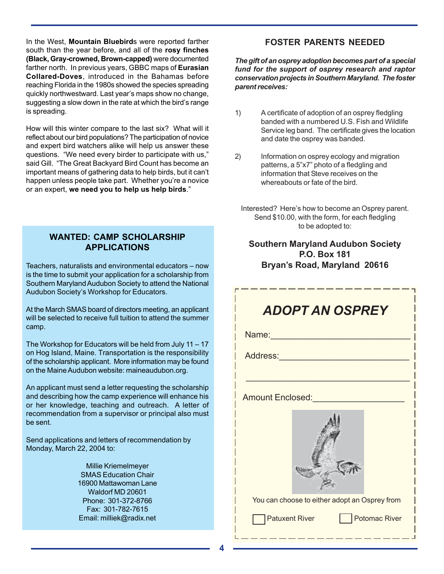In the West, **Mountain Bluebird**s were reported farther south than the year before, and all of the **rosy finches (Black, Gray-crowned, Brown-capped)** were documented farther north. In previous years, GBBC maps of **Eurasian Collared-Doves**, introduced in the Bahamas before reaching Florida in the 1980s showed the species spreading quickly northwestward. Last year's maps show no change, suggesting a slow down in the rate at which the bird's range is spreading.

How will this winter compare to the last six? What will it reflect about our bird populations? The participation of novice and expert bird watchers alike will help us answer these questions. "We need every birder to participate with us," said Gill. "The Great Backyard Bird Count has become an important means of gathering data to help birds, but it can't happen unless people take part. Whether you're a novice or an expert, **we need you to help us help birds**."

#### **WANTED: CAMP SCHOLARSHIP APPLICATIONS**

Teachers, naturalists and environmental educators – now is the time to submit your application for a scholarship from Southern Maryland Audubon Society to attend the National Audubon Society's Workshop for Educators.

At the March SMAS board of directors meeting, an applicant will be selected to receive full tuition to attend the summer camp.

The Workshop for Educators will be held from July 11 – 17 on Hog Island, Maine. Transportation is the responsibility of the scholarship applicant. More information may be found on the Maine Audubon website: maineaudubon.org.

An applicant must send a letter requesting the scholarship and describing how the camp experience will enhance his or her knowledge, teaching and outreach. A letter of recommendation from a supervisor or principal also must be sent.

Send applications and letters of recommendation by Monday, March 22, 2004 to:

> Millie Kriemelmeyer SMAS Education Chair 16900 Mattawoman Lane Waldorf MD 20601 Phone: 301-372-8766 Fax: 301-782-7615 Email: milliek@radix.net

## **FOSTER PARENTS NEEDED**

*The gift of an osprey adoption becomes part of a special fund for the support of osprey research and raptor conservation projects in Southern Maryland. The foster parent receives:*

- 1) A certificate of adoption of an osprey fledgling banded with a numbered U.S. Fish and Wildlife Service leg band. The certificate gives the location and date the osprey was banded.
- 2) Information on osprey ecology and migration patterns, a 5"x7" photo of a fledgling and information that Steve receives on the whereabouts or fate of the bird.
	- Interested? Here's how to become an Osprey parent. Send \$10.00, with the form, for each fledgling to be adopted to:

## **Southern Maryland Audubon Society P.O. Box 181 Bryan's Road, Maryland 20616**

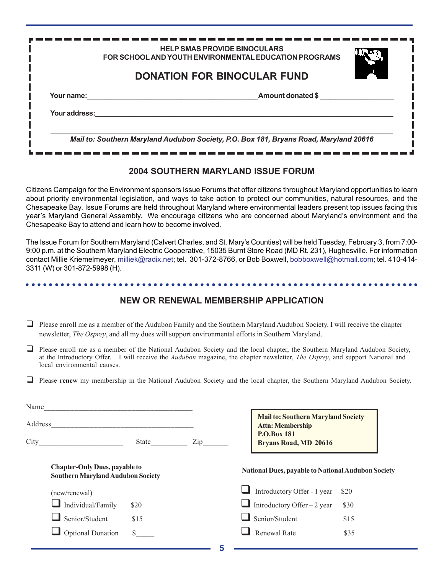|               | <b>HELP SMAS PROVIDE BINOCULARS</b><br>FOR SCHOOL AND YOUTH ENVIRONMENTAL EDUCATION PROGRAMS |  |
|---------------|----------------------------------------------------------------------------------------------|--|
|               | <b>DONATION FOR BINOCULAR FUND</b>                                                           |  |
| Your name:    | Amount donated \$                                                                            |  |
| Your address: |                                                                                              |  |
|               | Mail to: Southern Maryland Audubon Society, P.O. Box 181, Bryans Road, Maryland 20616        |  |

#### **2004 SOUTHERN MARYLAND ISSUE FORUM**

Citizens Campaign for the Environment sponsors Issue Forums that offer citizens throughout Maryland opportunities to learn about priority environmental legislation, and ways to take action to protect our communities, natural resources, and the Chesapeake Bay. Issue Forums are held throughout Maryland where environmental leaders present top issues facing this year's Maryland General Assembly. We encourage citizens who are concerned about Maryland's environment and the Chesapeake Bay to attend and learn how to become involved.

The Issue Forum for Southern Maryland (Calvert Charles, and St. Mary's Counties) will be held Tuesday, February 3, from 7:00- 9:00 p.m. at the Southern Maryland Electric Cooperative, 15035 Burnt Store Road (MD Rt. 231), Hughesville. For information contact Millie Kriemelmeyer, milliek@radix.net; tel. 301-372-8766, or Bob Boxwell, bobboxwell@hotmail.com; tel. 410-414- 3311 (W) or 301-872-5998 (H).

# **NEW OR RENEWAL MEMBERSHIP APPLICATION**

○○○○○○○○○○○○○○○○○○○○○○○○○○○○○○○○○○○○○○○○○○○○○ ○○○○○○○○○○○○○○○○○○○○○○○

- $\Box$  Please enroll me as a member of the Audubon Family and the Southern Maryland Audubon Society. I will receive the chapter newsletter, *The Osprey*, and all my dues will support environmental efforts in Southern Maryland.
- $\Box$  Please enroll me as a member of the National Audubon Society and the local chapter, the Southern Maryland Audubon Society, at the Introductory Offer.I will receive the *Audubon* magazine, the chapter newsletter, *The Osprey*, and support National and local environmental causes.
- Please **renew** my membership in the National Audubon Society and the local chapter, the Southern Maryland Audubon Society.

| Address                                                                          |     |  | <b>Mail to: Southern Maryland Society</b><br><b>Attn: Membership</b> |                                                |  |
|----------------------------------------------------------------------------------|-----|--|----------------------------------------------------------------------|------------------------------------------------|--|
| State                                                                            | Zip |  | <b>P.O.Box 181</b><br><b>Bryans Road, MD 20616</b>                   |                                                |  |
| <b>Chapter-Only Dues, payable to</b><br><b>Southern Maryland Audubon Society</b> |     |  | <b>National Dues, payable to National Audubon Society</b>            |                                                |  |
|                                                                                  |     |  | Introductory Offer - 1 year                                          | \$20                                           |  |
| \$20                                                                             |     |  |                                                                      | \$30                                           |  |
| \$15                                                                             |     |  |                                                                      | \$15                                           |  |
| $\mathcal{S}$                                                                    |     |  | <b>Renewal Rate</b>                                                  | \$35                                           |  |
|                                                                                  |     |  |                                                                      | Introductory Offer $-2$ year<br>Senior/Student |  |